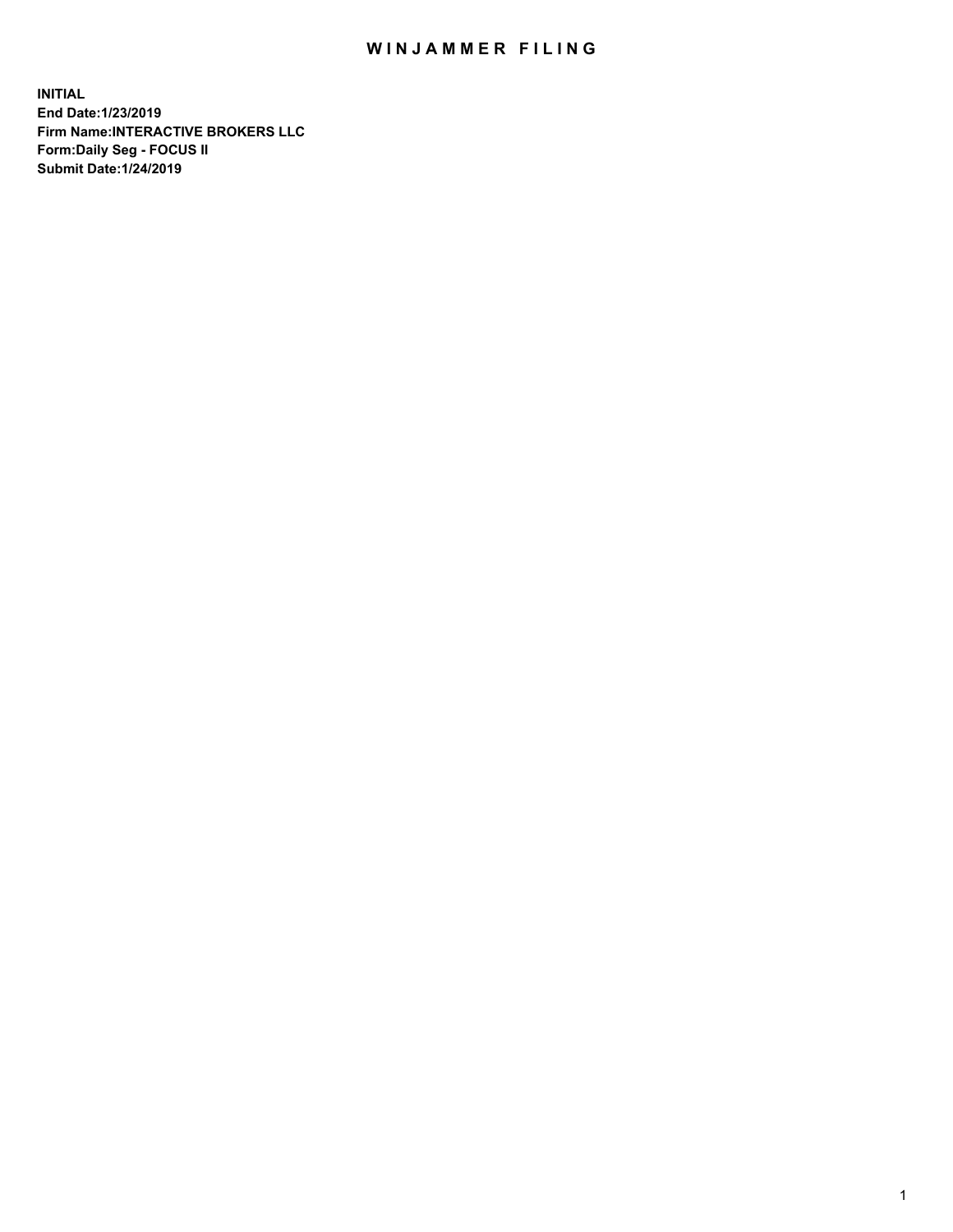## WIN JAMMER FILING

**INITIAL End Date:1/23/2019 Firm Name:INTERACTIVE BROKERS LLC Form:Daily Seg - FOCUS II Submit Date:1/24/2019**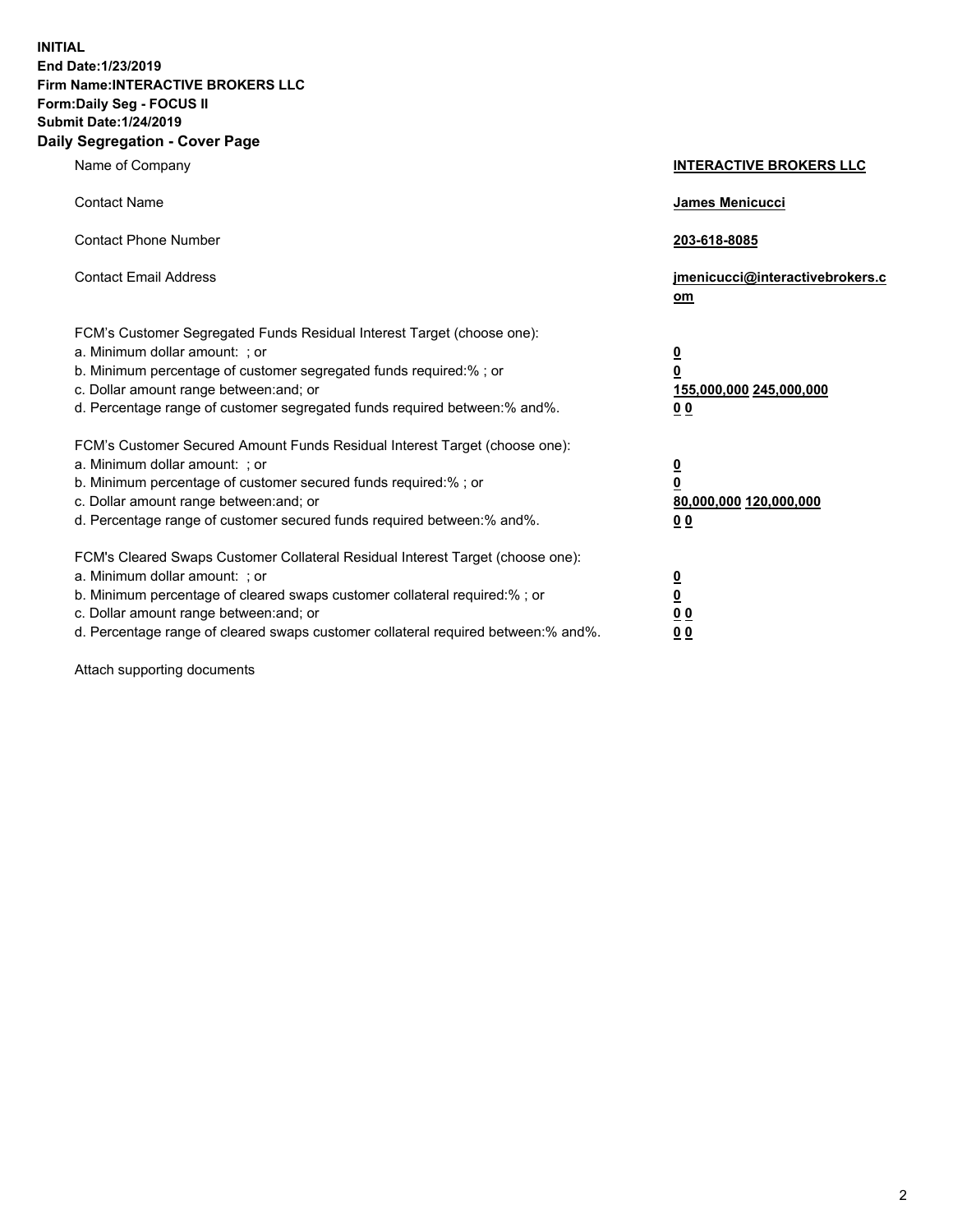**INITIAL End Date:1/23/2019 Firm Name:INTERACTIVE BROKERS LLC Form:Daily Seg - FOCUS II Submit Date:1/24/2019 Daily Segregation - Cover Page**

| Name of Company                                                                                                                                                                                                                                                                                                                | <b>INTERACTIVE BROKERS LLC</b>                                                                  |
|--------------------------------------------------------------------------------------------------------------------------------------------------------------------------------------------------------------------------------------------------------------------------------------------------------------------------------|-------------------------------------------------------------------------------------------------|
| <b>Contact Name</b>                                                                                                                                                                                                                                                                                                            | James Menicucci                                                                                 |
| <b>Contact Phone Number</b>                                                                                                                                                                                                                                                                                                    | 203-618-8085                                                                                    |
| <b>Contact Email Address</b>                                                                                                                                                                                                                                                                                                   | jmenicucci@interactivebrokers.c<br>om                                                           |
| FCM's Customer Segregated Funds Residual Interest Target (choose one):<br>a. Minimum dollar amount: ; or<br>b. Minimum percentage of customer segregated funds required:% ; or<br>c. Dollar amount range between: and; or<br>d. Percentage range of customer segregated funds required between:% and%.                         | $\overline{\mathbf{0}}$<br>$\overline{\mathbf{0}}$<br>155,000,000 245,000,000<br>0 <sub>0</sub> |
| FCM's Customer Secured Amount Funds Residual Interest Target (choose one):<br>a. Minimum dollar amount: ; or<br>b. Minimum percentage of customer secured funds required:% ; or<br>c. Dollar amount range between: and; or<br>d. Percentage range of customer secured funds required between:% and%.                           | $\overline{\mathbf{0}}$<br>0<br>80,000,000 120,000,000<br>0 <sub>0</sub>                        |
| FCM's Cleared Swaps Customer Collateral Residual Interest Target (choose one):<br>a. Minimum dollar amount: ; or<br>b. Minimum percentage of cleared swaps customer collateral required:% ; or<br>c. Dollar amount range between: and; or<br>d. Percentage range of cleared swaps customer collateral required between:% and%. | $\overline{\mathbf{0}}$<br><u>0</u><br>$\underline{0}$ $\underline{0}$<br>00                    |

Attach supporting documents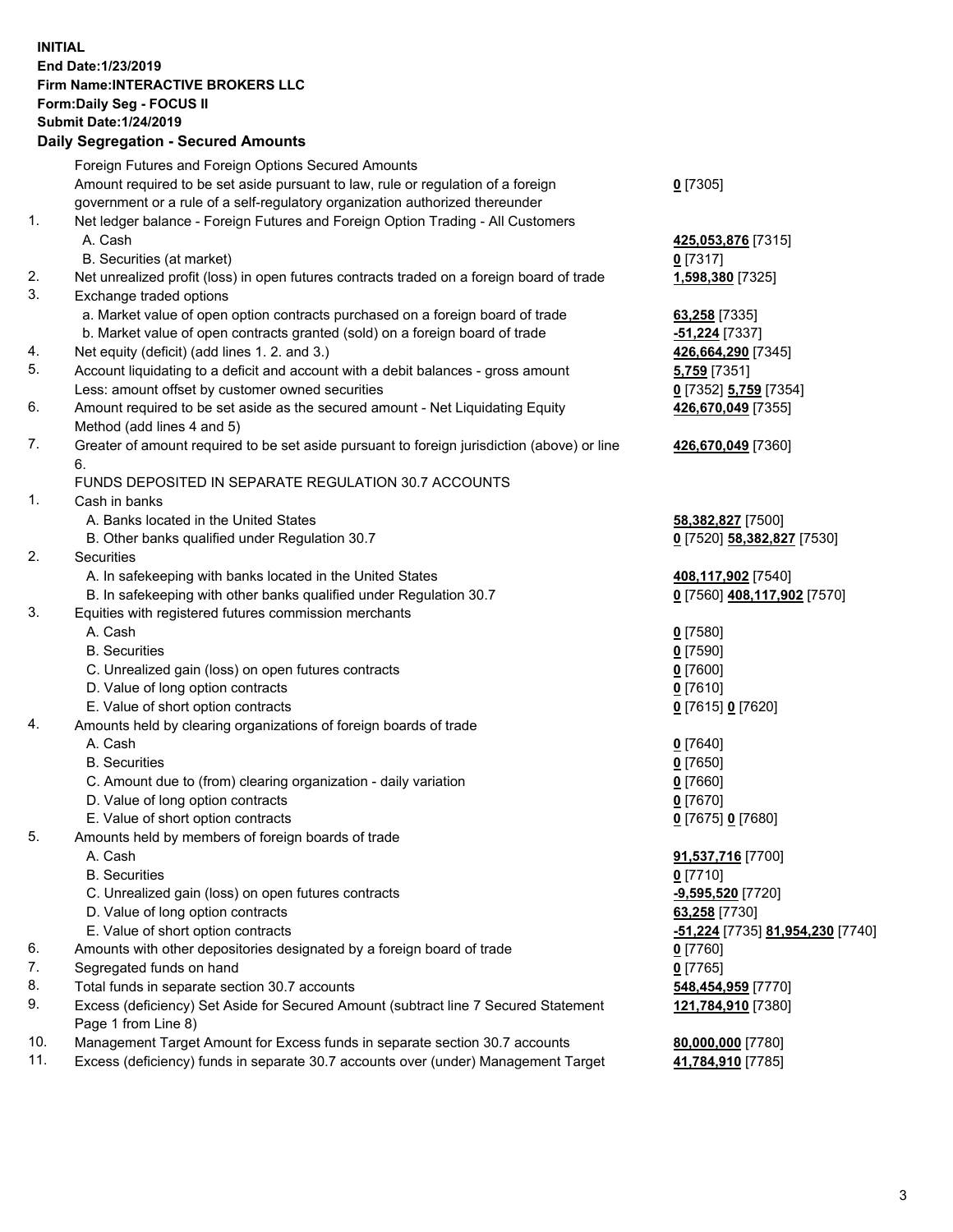## **INITIAL End Date:1/23/2019 Firm Name:INTERACTIVE BROKERS LLC Form:Daily Seg - FOCUS II Submit Date:1/24/2019 Daily Segregation - Secured Amounts**

|                | Daily Ocglegation - Occuled Aniounts                                                                       |                                                      |
|----------------|------------------------------------------------------------------------------------------------------------|------------------------------------------------------|
|                | Foreign Futures and Foreign Options Secured Amounts                                                        |                                                      |
|                | Amount required to be set aside pursuant to law, rule or regulation of a foreign                           | $0$ [7305]                                           |
|                | government or a rule of a self-regulatory organization authorized thereunder                               |                                                      |
| $\mathbf{1}$ . | Net ledger balance - Foreign Futures and Foreign Option Trading - All Customers                            |                                                      |
|                | A. Cash                                                                                                    | 425,053,876 [7315]                                   |
|                | B. Securities (at market)                                                                                  | $0$ [7317]                                           |
| 2.             | Net unrealized profit (loss) in open futures contracts traded on a foreign board of trade                  | 1,598,380 [7325]                                     |
| 3.             | Exchange traded options                                                                                    |                                                      |
|                | a. Market value of open option contracts purchased on a foreign board of trade                             | 63,258 [7335]                                        |
|                | b. Market value of open contracts granted (sold) on a foreign board of trade                               | -51,224 [7337]                                       |
| 4.             | Net equity (deficit) (add lines 1.2. and 3.)                                                               | 426,664,290 [7345]                                   |
| 5.             | Account liquidating to a deficit and account with a debit balances - gross amount                          | 5,759 [7351]                                         |
|                | Less: amount offset by customer owned securities                                                           | 0 [7352] 5,759 [7354]                                |
| 6.             | Amount required to be set aside as the secured amount - Net Liquidating Equity                             | 426,670,049 [7355]                                   |
|                | Method (add lines 4 and 5)                                                                                 |                                                      |
| 7.             | Greater of amount required to be set aside pursuant to foreign jurisdiction (above) or line<br>6.          | 426,670,049 [7360]                                   |
|                | FUNDS DEPOSITED IN SEPARATE REGULATION 30.7 ACCOUNTS                                                       |                                                      |
| 1.             | Cash in banks                                                                                              |                                                      |
|                | A. Banks located in the United States                                                                      | 58,382,827 [7500]                                    |
|                | B. Other banks qualified under Regulation 30.7                                                             | 0 [7520] 58,382,827 [7530]                           |
| 2.             | Securities                                                                                                 |                                                      |
|                | A. In safekeeping with banks located in the United States                                                  | 408,117,902 [7540]                                   |
|                | B. In safekeeping with other banks qualified under Regulation 30.7                                         | 0 [7560] 408,117,902 [7570]                          |
| 3.             | Equities with registered futures commission merchants                                                      |                                                      |
|                | A. Cash                                                                                                    | $0$ [7580]                                           |
|                | <b>B.</b> Securities                                                                                       | $0$ [7590]                                           |
|                | C. Unrealized gain (loss) on open futures contracts                                                        | $0$ [7600]                                           |
|                | D. Value of long option contracts                                                                          | $0$ [7610]                                           |
|                | E. Value of short option contracts                                                                         | 0 [7615] 0 [7620]                                    |
| 4.             | Amounts held by clearing organizations of foreign boards of trade                                          |                                                      |
|                | A. Cash                                                                                                    | $0$ [7640]                                           |
|                | <b>B.</b> Securities                                                                                       | $0$ [7650]                                           |
|                | C. Amount due to (from) clearing organization - daily variation                                            | $0$ [7660]                                           |
|                | D. Value of long option contracts                                                                          | $0$ [7670]                                           |
|                | E. Value of short option contracts                                                                         | 0 [7675] 0 [7680]                                    |
| 5.             | Amounts held by members of foreign boards of trade                                                         |                                                      |
|                | A. Cash                                                                                                    | 91,537,716 [7700]                                    |
|                | <b>B.</b> Securities                                                                                       | $0$ [7710]                                           |
|                | C. Unrealized gain (loss) on open futures contracts                                                        | -9,595,520 [7720]                                    |
|                | D. Value of long option contracts                                                                          | 63,258 [7730]                                        |
|                | E. Value of short option contracts                                                                         | <mark>-51,224</mark> [7735] <u>81,954,230</u> [7740] |
| 6.             | Amounts with other depositories designated by a foreign board of trade                                     | 0 [7760]                                             |
| 7.             | Segregated funds on hand                                                                                   | $0$ [7765]                                           |
| 8.             | Total funds in separate section 30.7 accounts                                                              | 548,454,959 [7770]                                   |
| 9.             | Excess (deficiency) Set Aside for Secured Amount (subtract line 7 Secured Statement<br>Page 1 from Line 8) | 121,784,910 [7380]                                   |
| 10.            | Management Target Amount for Excess funds in separate section 30.7 accounts                                | 80,000,000 [7780]                                    |
| 11.            | Excess (deficiency) funds in separate 30.7 accounts over (under) Management Target                         | 41,784,910 [7785]                                    |
|                |                                                                                                            |                                                      |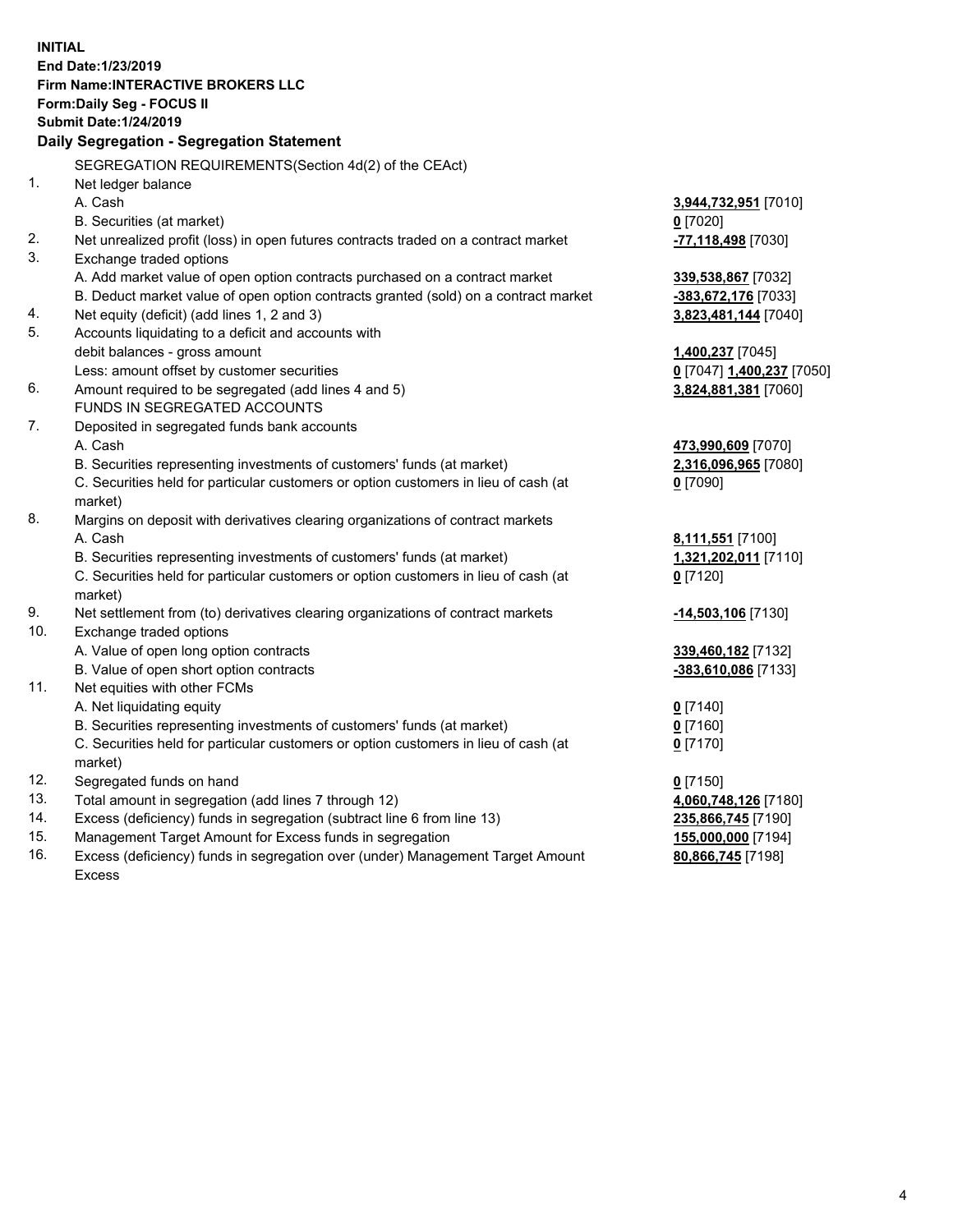**INITIAL End Date:1/23/2019 Firm Name:INTERACTIVE BROKERS LLC Form:Daily Seg - FOCUS II Submit Date:1/24/2019 Daily Segregation - Segregation Statement** SEGREGATION REQUIREMENTS(Section 4d(2) of the CEAct) 1. Net ledger balance A. Cash **3,944,732,951** [7010] B. Securities (at market) **0** [7020] 2. Net unrealized profit (loss) in open futures contracts traded on a contract market **-77,118,498** [7030] 3. Exchange traded options A. Add market value of open option contracts purchased on a contract market **339,538,867** [7032] B. Deduct market value of open option contracts granted (sold) on a contract market **-383,672,176** [7033] 4. Net equity (deficit) (add lines 1, 2 and 3) **3,823,481,144** [7040] 5. Accounts liquidating to a deficit and accounts with debit balances - gross amount **1,400,237** [7045] Less: amount offset by customer securities **0** [7047] **1,400,237** [7050] 6. Amount required to be segregated (add lines 4 and 5) **3,824,881,381** [7060] FUNDS IN SEGREGATED ACCOUNTS 7. Deposited in segregated funds bank accounts A. Cash **473,990,609** [7070] B. Securities representing investments of customers' funds (at market) **2,316,096,965** [7080] C. Securities held for particular customers or option customers in lieu of cash (at market) **0** [7090] 8. Margins on deposit with derivatives clearing organizations of contract markets A. Cash **8,111,551** [7100] B. Securities representing investments of customers' funds (at market) **1,321,202,011** [7110] C. Securities held for particular customers or option customers in lieu of cash (at market) **0** [7120] 9. Net settlement from (to) derivatives clearing organizations of contract markets **-14,503,106** [7130] 10. Exchange traded options A. Value of open long option contracts **339,460,182** [7132] B. Value of open short option contracts **-383,610,086** [7133] 11. Net equities with other FCMs A. Net liquidating equity **0** [7140] B. Securities representing investments of customers' funds (at market) **0** [7160] C. Securities held for particular customers or option customers in lieu of cash (at market) **0** [7170] 12. Segregated funds on hand **0** [7150] 13. Total amount in segregation (add lines 7 through 12) **4,060,748,126** [7180] 14. Excess (deficiency) funds in segregation (subtract line 6 from line 13) **235,866,745** [7190] 15. Management Target Amount for Excess funds in segregation **155,000,000** [7194]

16. Excess (deficiency) funds in segregation over (under) Management Target Amount Excess

**80,866,745** [7198]